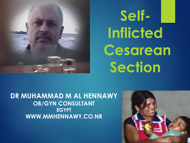

**SeIf-Inflicted Cesarean Section**

**DR MUHAMMAD M AL HENNAWY OB/GYN CONSULTANT EGYPT WWW.MMHENNAWY.CO.NR**

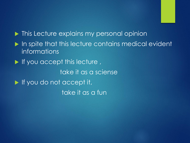$\blacktriangleright$  This Lecture explains my personal opinion In spite that this lecture contains medical evident informations  $\blacktriangleright$  If you accept this lecture, take it as a sciense If you do not accept it, take it as a fun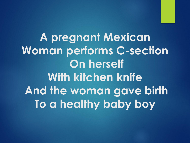**A pregnant Mexican Woman performs C-section On herself With kitchen knife And the woman gave birth To a healthy baby boy**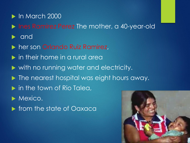# In March 2000

**Ines Ramirez Perez The mother, a 40-year-old** 

- and
- **her son Orlando Ruiz Ramirez,**
- in their home in a rural area
- $\blacktriangleright$  with no running water and electricity.
- $\blacktriangleright$  The nearest hospital was eight hours away.
- **In the town of Rio Talea,**
- **Mexico.**
- **Figure 1 State of Oaxaca**

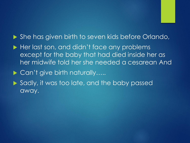## ▶ She has given birth to seven kids before Orlando,

Her last son, and didn't face any problems except for the baby that had died inside her as her midwife told her she needed a cesarean And

# ▶ Can't give birth naturally…..

Sadly, it was too late, and the baby passed away.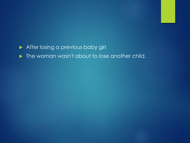After losing a previous baby girl

 $\blacktriangleright$  The woman wasn't about to lose another child.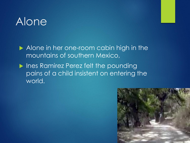# Alone

Alone in her one-room cabin high in the mountains of southern Mexico,

**Ines Ramirez Perez felt the pounding** pains of a child insistent on entering the world.

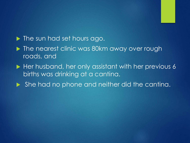

- The nearest clinic was 80km away over rough roads, and
- Her husband, her only assistant with her previous 6 births was drinking at a cantina.
- ▶ She had no phone and neither did the cantina.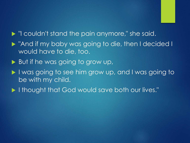

- If I'l couldn't stand the pain anymore," she said.
- "And if my baby was going to die, then I decided I would have to die, too.
- But if he was going to grow up,
- I was going to see him grow up, and I was going to be with my child.
- I thought that God would save both our lives."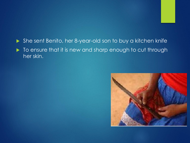## She sent Benito, her 8-year-old son to buy a kitchen knife  $\blacktriangleright$  To ensure that it is new and sharp enough to cut through her skin.

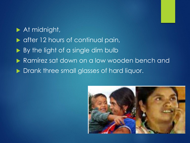At midnight,  $\triangleright$  after 12 hours of continual pain, By the light of a single dim bulb Ramírez sat down on a low wooden bench and Drank three small glasses of hard liquor.

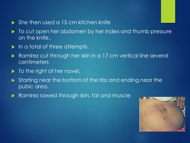#### $\triangleright$  She then used a 15 cm kitchen knife

- $\blacktriangleright$  To cut open her abdomen by her index and thumb pressure on the knife..
- In a total of three attempts.
- Ramírez cut through her skin in a 17 cm vertical line several centimeters
- $\blacktriangleright$  To the right of her navel,
- Starting near the bottom of the ribs and ending near the pubic area.
- **Ramirez sawed through skin, fat and muscle**

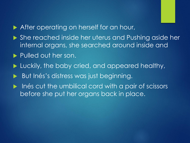- After operating on herself for an hour,
- She reached inside her uterus and Pushing aside her internal organs, she searched around inside and
- Pulled out her son.
- **Luckily, the baby cried, and appeared healthy,**
- But Inés's distress was just beginning.
- lacktriangleright in the umbilical cord with a pair of scissors before she put her organs back in place.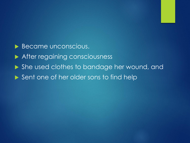Became unconscious. After regaining consciousness ▶ She used clothes to bandage her wound, and Sent one of her older sons to find help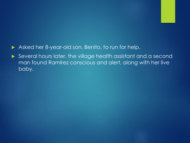#### Asked her 8-year-old son, Benito, to run for help.

Several hours later, the village health assistant and a second man found Ramírez conscious and alert, along with her live baby.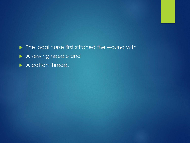$\blacktriangleright$  The local nurse first stitched the wound with A sewing needle and A cotton thread.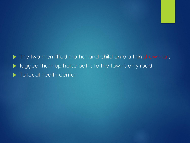

 $\blacktriangleright$  To local health center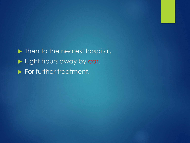Inter to the nearest hospital, Eight hours away by car. **For further treatment.**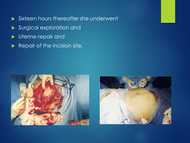- Sixteen hours thereafter she underwent
- Surgical exploration and
- **Verine repair and**
- Repair of the incision site.



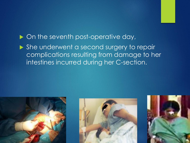# $\triangleright$  On the seventh post-operative day,

▶ She underwent a second surgery to repair complications resulting from damage to her intestines incurred during her C-section.

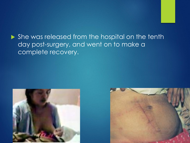▶ She was released from the hospital on the tenth day post-surgery, and went on to make a complete recovery.